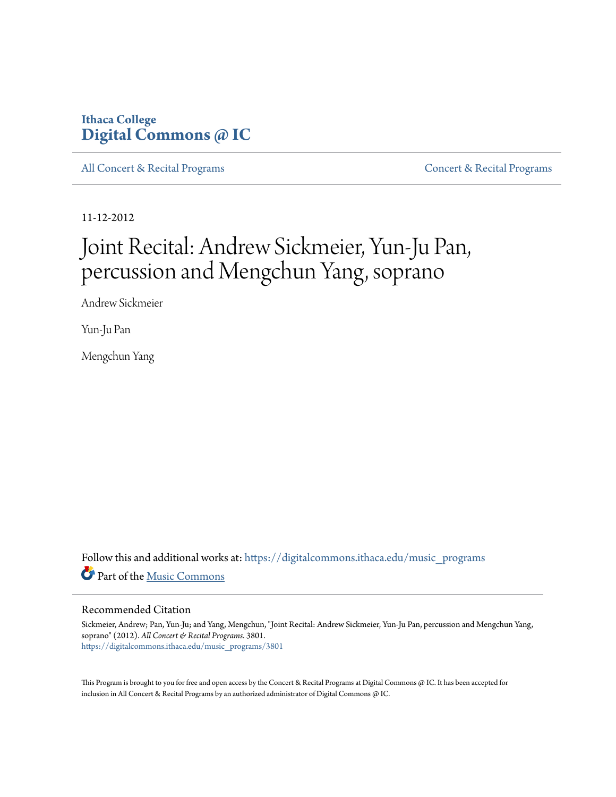# **Ithaca College [Digital Commons @ IC](https://digitalcommons.ithaca.edu?utm_source=digitalcommons.ithaca.edu%2Fmusic_programs%2F3801&utm_medium=PDF&utm_campaign=PDFCoverPages)**

[All Concert & Recital Programs](https://digitalcommons.ithaca.edu/music_programs?utm_source=digitalcommons.ithaca.edu%2Fmusic_programs%2F3801&utm_medium=PDF&utm_campaign=PDFCoverPages) **[Concert & Recital Programs](https://digitalcommons.ithaca.edu/som_programs?utm_source=digitalcommons.ithaca.edu%2Fmusic_programs%2F3801&utm_medium=PDF&utm_campaign=PDFCoverPages)** Concert & Recital Programs

11-12-2012

# Joint Recital: Andrew Sickmeier, Yun-Ju Pan, percussion and Mengchun Yang, soprano

Andrew Sickmeier

Yun-Ju Pan

Mengchun Yang

Follow this and additional works at: [https://digitalcommons.ithaca.edu/music\\_programs](https://digitalcommons.ithaca.edu/music_programs?utm_source=digitalcommons.ithaca.edu%2Fmusic_programs%2F3801&utm_medium=PDF&utm_campaign=PDFCoverPages) Part of the [Music Commons](http://network.bepress.com/hgg/discipline/518?utm_source=digitalcommons.ithaca.edu%2Fmusic_programs%2F3801&utm_medium=PDF&utm_campaign=PDFCoverPages)

### Recommended Citation

Sickmeier, Andrew; Pan, Yun-Ju; and Yang, Mengchun, "Joint Recital: Andrew Sickmeier, Yun-Ju Pan, percussion and Mengchun Yang, soprano" (2012). *All Concert & Recital Programs*. 3801. [https://digitalcommons.ithaca.edu/music\\_programs/3801](https://digitalcommons.ithaca.edu/music_programs/3801?utm_source=digitalcommons.ithaca.edu%2Fmusic_programs%2F3801&utm_medium=PDF&utm_campaign=PDFCoverPages)

This Program is brought to you for free and open access by the Concert & Recital Programs at Digital Commons @ IC. It has been accepted for inclusion in All Concert & Recital Programs by an authorized administrator of Digital Commons @ IC.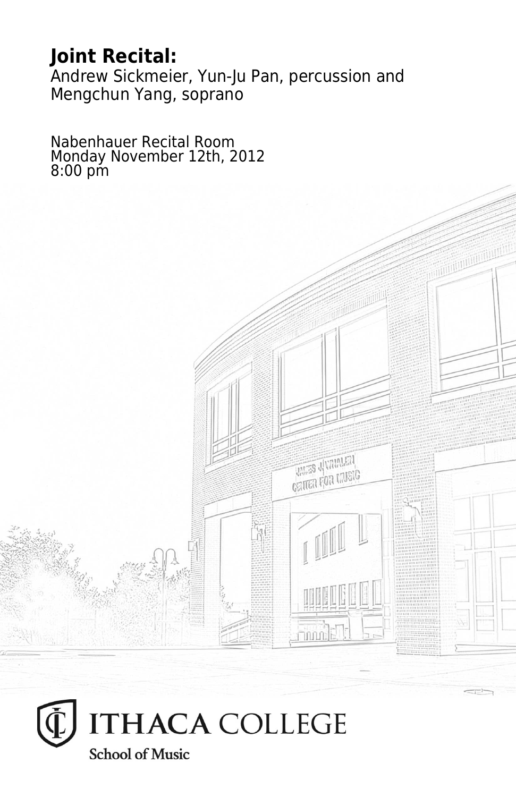# **Joint Recital:**

Andrew Sickmeier, Yun-Ju Pan, percussion and Mengchun Yang, soprano

> **THES** JUNIALET **CRITER FOR LIVEIG**

Nabenhauer Recital Room Monday November 12th, 2012 8:00 pm

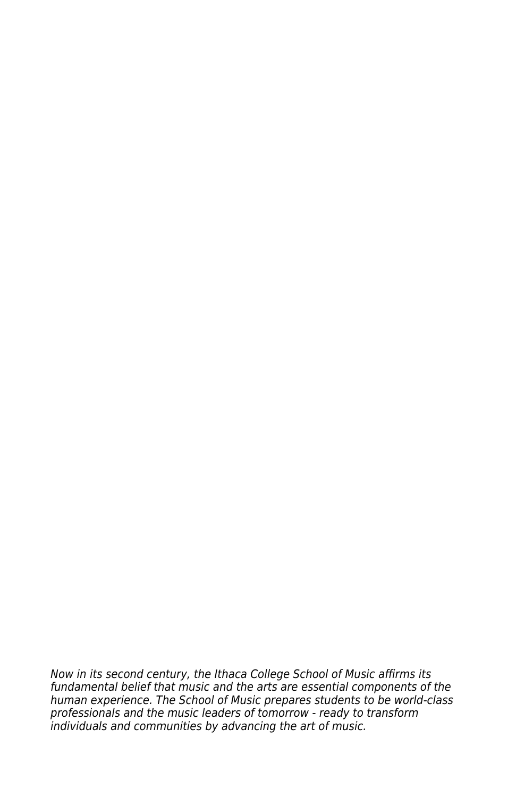Now in its second century, the Ithaca College School of Music affirms its fundamental belief that music and the arts are essential components of the human experience. The School of Music prepares students to be world-class professionals and the music leaders of tomorrow - ready to transform individuals and communities by advancing the art of music.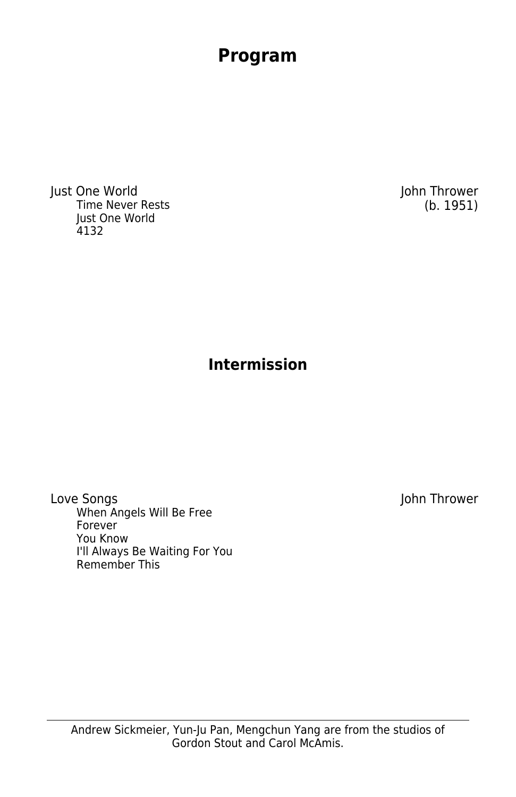Just One World John Thrower Time Never Rests Just One World 4132

# **Intermission**

**Program**

Love Songs and the set of the set of the set of the set of the set of the set of the set of the set of the set o When Angels Will Be Free Forever You Know I'll Always Be Waiting For You Remember This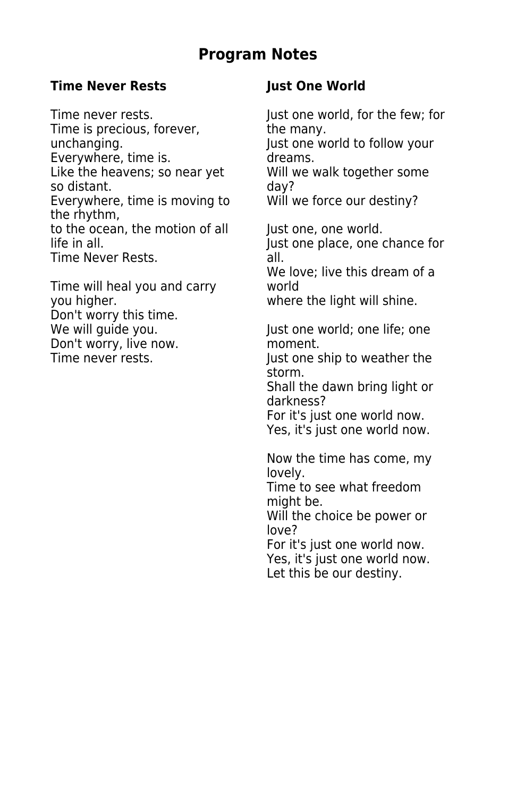## **Program Notes**

### **Time Never Rests Just One World**

Time is precious, forever, the many.<br>unchanging. The lust one w Everywhere, time is. The dreams. Like the heavens; so near yet Will we walk together some so distant.<br>Everywhere, time is moving to Will we force our destiny? Everywhere, time is moving to the rhythm, to the ocean, the motion of all Just one, one world.<br>life in all. Just one place, one of Time Never Rests. Time Never Rests.

Time will heal you and carry world you higher. where the light will shine. Don't worry this time. Don't worry, live now.<br>Time never rests. Time never rests.

Time never rests. Time never rests. Just one world to follow your

Just one place, one chance for

We love; live this dream of a

Just one world; one life; one

Just one ship to weather the storm.

Shall the dawn bring light or darkness?

For it's just one world now. Yes, it's just one world now.

Now the time has come, my lovely.

Time to see what freedom might be.

Will the choice be power or love?

For it's just one world now. Yes, it's just one world now. Let this be our destiny.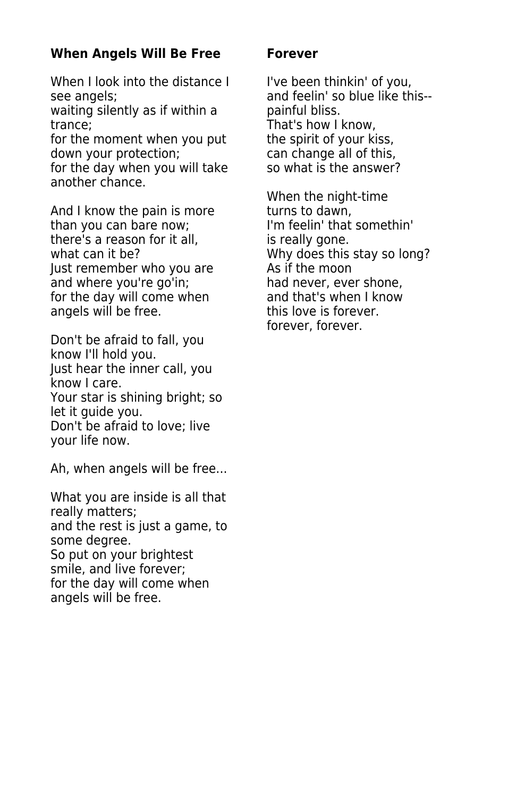### **When Angels Will Be Free Forever**

When I look into the distance I I've been thinkin' of you, see angels;  $\qquad \qquad \qquad$  and feelin' so blue like this-waiting silently as if within a painful bliss. trance; That's how I know, for the moment when you put the spirit of your kiss, down your protection; example all of this,

another chance.

And I know the pain is more turns to dawn, than you can bare now; I'm feelin' that somethin' there's a reason for it all, is really gone. what can it be? Why does this stay so long?<br>lust remember who you are Why does this stay so long? Just remember who you are and where you're go'in; had never, ever shone, for the day will come when and that's when I know angels will be free. This love is forever.

Don't be afraid to fall, you know I'll hold you. Just hear the inner call, you know I care. Your star is shining bright; so let it guide you. Don't be afraid to love; live your life now.

Ah, when angels will be free...

What you are inside is all that really matters; and the rest is just a game, to some degree. So put on your brightest smile, and live forever; for the day will come when angels will be free.

for the day when you will take so what is the answer?

When the night-time forever, forever.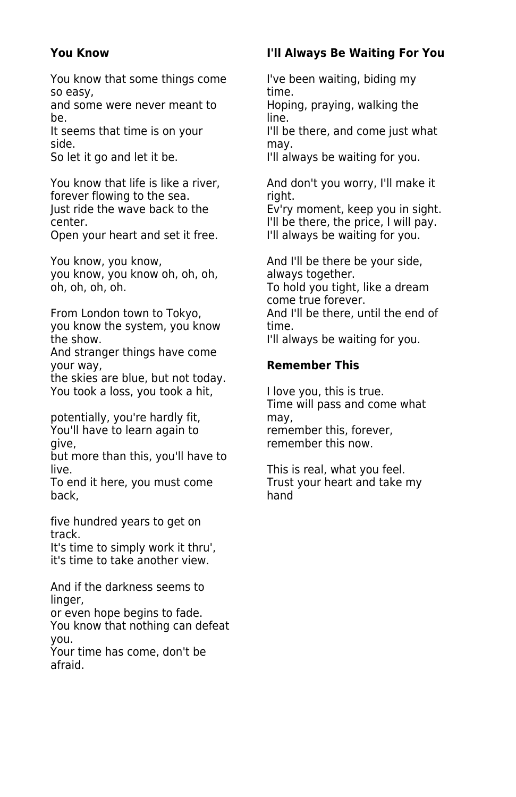You know that some things come I've been waiting, biding my so easy, time.

and some were never meant to Hoping, praying, walking the be. The contract of the contract of the line.

It seems that time is on your I'll be there, and come just what side. may.<br>So let it go and let it be. Noting that the lill all

You know that life is like a river, and don't you worry, I'll make it forever flowing to the sea. The seal of the state of the state of the state of the state of the state of the state of the state of the state of the state of the state of the state of the state of the state of the state of

Open your heart and set it free.

you know, you know oh, oh, oh, always together. oh, oh, oh, oh. To hold you tight, like a dream

you know the system, you know time. the show. I'll always be waiting for you.

And stranger things have come your way, **Remember This**

the skies are blue, but not today. You took a loss, you took a hit, **I** love you, this is true.

potentially, you're hardly fit, a may, may, have to learn again to member this, forever, You'll have to learn again to give, remember this now.

but more than this, you'll have to

To end it here, you must come back, the contract of the back, thand

five hundred years to get on track.

It's time to simply work it thru', it's time to take another view.

And if the darkness seems to linger,

or even hope begins to fade. You know that nothing can defeat you.

Your time has come, don't be afraid.

### **You Know I'll Always Be Waiting For You**

I'll always be waiting for you.

Ev'ry moment, keep you in sight. center.<br>
Open your heart and set it free. I'll always be waiting for you.

You know, you know, and I'll be there be your side, come true forever. From London town to Tokyo, The Mand I'll be there, until the end of

Time will pass and come what

live.<br>To end it here, you must come Trust your heart and take my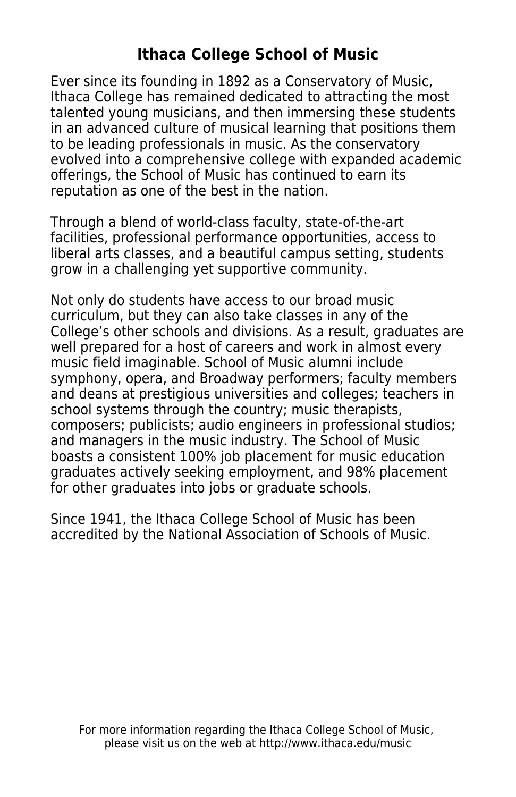# **Ithaca College School of Music**

Ever since its founding in 1892 as a Conservatory of Music, Ithaca College has remained dedicated to attracting the most talented young musicians, and then immersing these students in an advanced culture of musical learning that positions them to be leading professionals in music. As the conservatory evolved into a comprehensive college with expanded academic offerings, the School of Music has continued to earn its reputation as one of the best in the nation.

Through a blend of world-class faculty, state-of-the-art facilities, professional performance opportunities, access to liberal arts classes, and a beautiful campus setting, students grow in a challenging yet supportive community.

Not only do students have access to our broad music curriculum, but they can also take classes in any of the College's other schools and divisions. As a result, graduates are well prepared for a host of careers and work in almost every music field imaginable. School of Music alumni include symphony, opera, and Broadway performers; faculty members and deans at prestigious universities and colleges; teachers in school systems through the country; music therapists, composers; publicists; audio engineers in professional studios; and managers in the music industry. The School of Music boasts a consistent 100% job placement for music education graduates actively seeking employment, and 98% placement for other graduates into jobs or graduate schools.

Since 1941, the Ithaca College School of Music has been accredited by the National Association of Schools of Music.